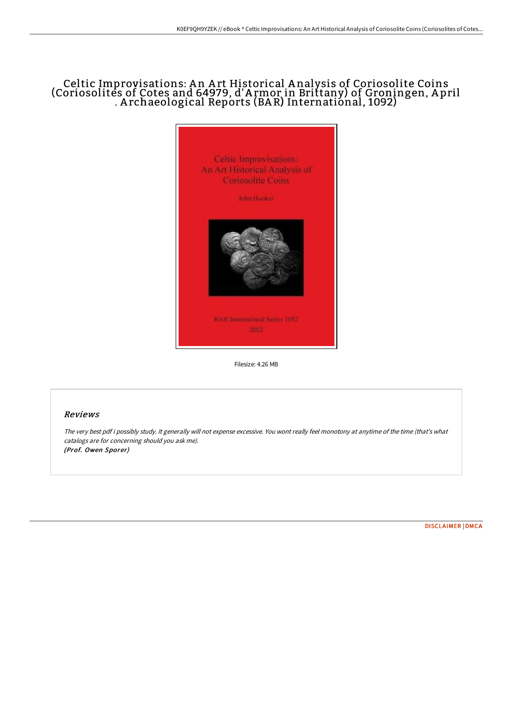## Celtic Improvisations: A n A rt Historical A nalysis of Coriosolite Coins (Coriosolites of Cotes and 64979, d'A rmor in Brittany) of Groningen, A pril . A rchaeological Reports (BA R) International, 1092)



Filesize: 4.26 MB

## Reviews

The very best pdf i possibly study. It generally will not expense excessive. You wont really feel monotony at anytime of the time (that's what catalogs are for concerning should you ask me). (Prof. Owen Sporer)

[DISCLAIMER](http://techno-pub.tech/disclaimer.html) | [DMCA](http://techno-pub.tech/dmca.html)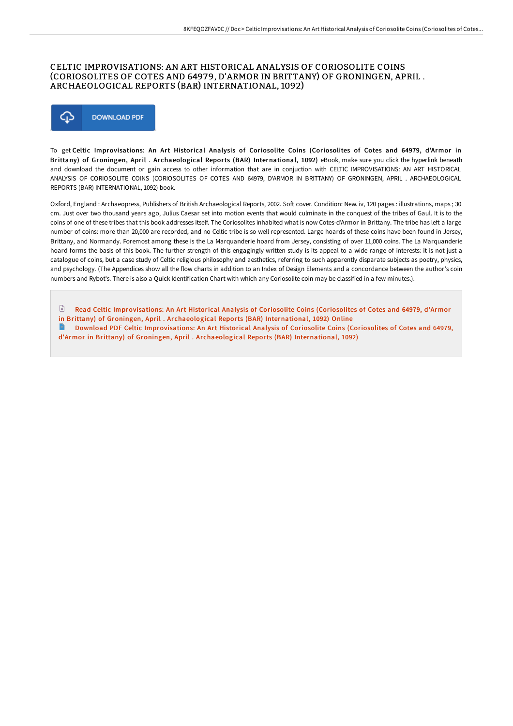## CELTIC IMPROVISATIONS: AN ART HISTORICAL ANALYSIS OF CORIOSOLITE COINS (CORIOSOLITES OF COTES AND 64979, D'ARMOR IN BRITTANY) OF GRONINGEN, APRIL . ARCHAEOLOGICAL REPORTS (BAR) INTERNATIONAL, 1092)



To get Celtic Improvisations: An Art Historical Analysis of Coriosolite Coins (Coriosolites of Cotes and 64979, d'Armor in Brittany) of Groningen, April . Archaeological Reports (BAR) International, 1092) eBook, make sure you click the hyperlink beneath and download the document or gain access to other information that are in conjuction with CELTIC IMPROVISATIONS: AN ART HISTORICAL ANALYSIS OF CORIOSOLITE COINS (CORIOSOLITES OF COTES AND 64979, D'ARMOR IN BRITTANY) OF GRONINGEN, APRIL . ARCHAEOLOGICAL REPORTS (BAR) INTERNATIONAL, 1092) book.

Oxford, England : Archaeopress, Publishers of British Archaeological Reports, 2002. Soft cover. Condition: New. iv, 120 pages : illustrations, maps ; 30 cm. Just over two thousand years ago, Julius Caesar set into motion events that would culminate in the conquest of the tribes of Gaul. It is to the coins of one of these tribes that this book addresses itself. The Coriosolites inhabited what is now Cotes-d'Armor in Brittany. The tribe has left a large number of coins: more than 20,000 are recorded, and no Celtic tribe is so well represented. Large hoards of these coins have been found in Jersey, Brittany, and Normandy. Foremost among these is the La Marquanderie hoard from Jersey, consisting of over 11,000 coins. The La Marquanderie hoard forms the basis of this book. The further strength of this engagingly-written study is its appeal to a wide range of interests: it is not just a catalogue of coins, but a case study of Celtic religious philosophy and aesthetics, referring to such apparently disparate subjects as poetry, physics, and psychology. (The Appendices show all the flow charts in addition to an Index of Design Elements and a concordance between the author's coin numbers and Rybot's. There is also a Quick Identification Chart with which any Coriosolite coin may be classified in a few minutes.).

 $\mathbb{P}$ Read Celtic [Improvisations:](http://techno-pub.tech/celtic-improvisations-an-art-historical-analysis.html) An Art Historical Analysis of Coriosolite Coins (Coriosolites of Cotes and 64979, d'Armor in Brittany) of Groningen, April . Archaeological Reports (BAR) International, 1092) Online

Download PDF Celtic [Improvisations:](http://techno-pub.tech/celtic-improvisations-an-art-historical-analysis.html) An Art Historical Analysis of Coriosolite Coins (Coriosolites of Cotes and 64979, d'Armor in Brittany) of Groningen, April . Archaeological Reports (BAR) International, 1092)